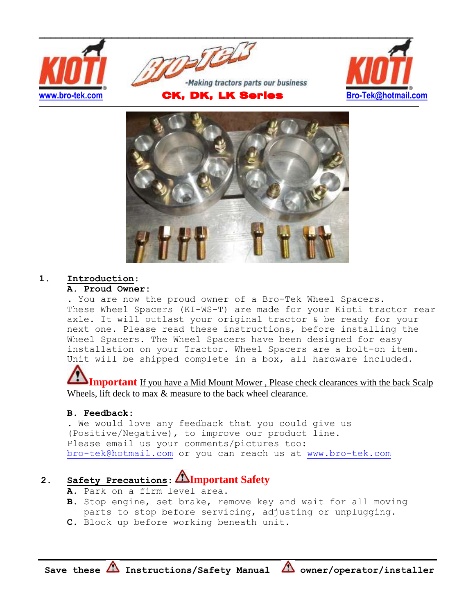



## **1. Introduction**:

## **A. Proud Owner:**

. You are now the proud owner of a Bro-Tek Wheel Spacers. These Wheel Spacers (KI-WS-T) are made for your Kioti tractor rear axle. It will outlast your original tractor & be ready for your next one. Please read these instructions, before installing the Wheel Spacers. The Wheel Spacers have been designed for easy installation on your Tractor. Wheel Spacers are a bolt-on item. Unit will be shipped complete in a box, all hardware included.

**Important** If you have a Mid Mount Mower, Please check clearances with the back Scalp Wheels, lift deck to max  $\&$  measure to the back wheel clearance.

### **B. Feedback:**

. We would love any feedback that you could give us (Positive/Negative), to improve our product line. Please email us your comments/pictures too: [bro-tek@hotmail.com](mailto:bro-tek@hotmail.com) or you can reach us at [www.bro-tek.com](http://www.bro-tek.com/)

# **2. Safety Precautions**: **Important Safety**

- **A.** Park on a firm level area.
- **B.** Stop engine, set brake, remove key and wait for all moving parts to stop before servicing, adjusting or unplugging.
- **C.** Block up before working beneath unit.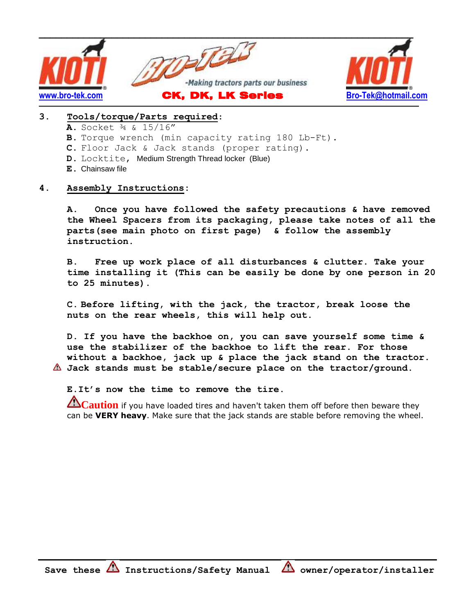

### **3. Tools/torque/Parts required**:

- **A.** Socket ¾ & 15/16"
- **B.** Torque wrench (min capacity rating 180 Lb-Ft).
- **C.** Floor Jack & Jack stands (proper rating).
- **D.** Locktite, Medium Strength Thread locker (Blue)
- **E.** Chainsaw file

#### **4. Assembly Instructions:**

**A. Once you have followed the safety precautions & have removed the Wheel Spacers from its packaging, please take notes of all the parts(see main photo on first page) & follow the assembly instruction.**

**B. Free up work place of all disturbances & clutter. Take your time installing it (This can be easily be done by one person in 20 to 25 minutes).**

**C. Before lifting, with the jack, the tractor, break loose the nuts on the rear wheels, this will help out.**

**D. If you have the backhoe on, you can save yourself some time & use the stabilizer of the backhoe to lift the rear. For those without a backhoe, jack up & place the jack stand on the tractor. Jack stands must be stable/secure place on the tractor/ground.**

## **E.It's now the time to remove the tire.**

**Caution** if you have loaded tires and haven't taken them off before then beware they can be **VERY heavy**. Make sure that the jack stands are stable before removing the wheel.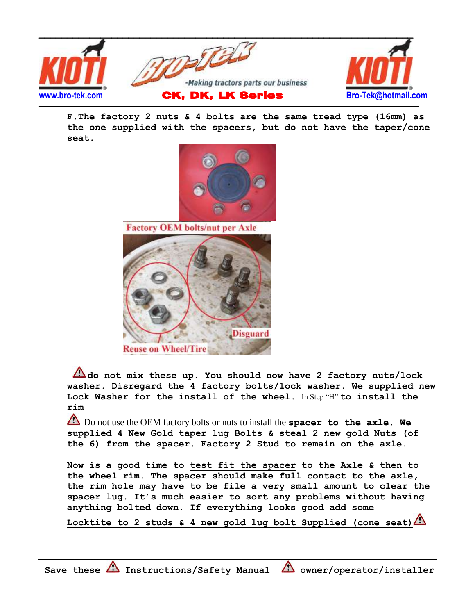

**F.The factory 2 nuts & 4 bolts are the same tread type (16mm) as the one supplied with the spacers, but do not have the taper/cone seat.** 



**Factory OEM bolts/nut per Axle** 



**do not mix these up. You should now have 2 factory nuts/lock washer. Disregard the 4 factory bolts/lock washer. We supplied new Lock Washer for the install of the wheel.** In Step "H" **to install the rim**

 Do not use the OEM factory bolts or nuts to install the **spacer to the axle. We supplied 4 New Gold taper lug Bolts & steal 2 new gold Nuts (of the 6) from the spacer. Factory 2 Stud to remain on the axle.**

**Now is a good time to test fit the spacer to the Axle & then to the wheel rim. The spacer should make full contact to the axle, the rim hole may have to be file a very small amount to clear the spacer lug. It's much easier to sort any problems without having anything bolted down. If everything looks good add some** 

**Locktite to 2 studs & 4 new gold lug bolt Supplied (cone seat)**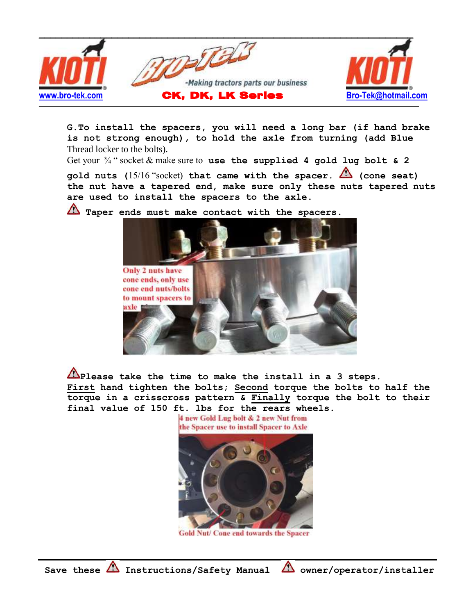

**G.To install the spacers, you will need a long bar (if hand brake is not strong enough), to hold the axle from turning (add Blue**  Thread locker to the bolts).

Get your ¾ " socket & make sure to **use the supplied 4 gold lug bolt & 2** 

**gold nuts (**15/16 "socket) **that came with the spacer. (cone seat) the nut have a tapered end, make sure only these nuts tapered nuts are used to install the spacers to the axle.** 



Taper ends must make contact with the spacers.

**Please take the time to make the install in a 3 steps. First hand tighten the bolts; Second torque the bolts to half the torque in a crisscross pattern & Finally torque the bolt to their final value of 150 ft. lbs for the rears wheels.**

4 new Gold Lug bolt & 2 new Nut from the Spacer use to install Spacer to Axle



**Gold Nut/ Cone end towards the Spacer**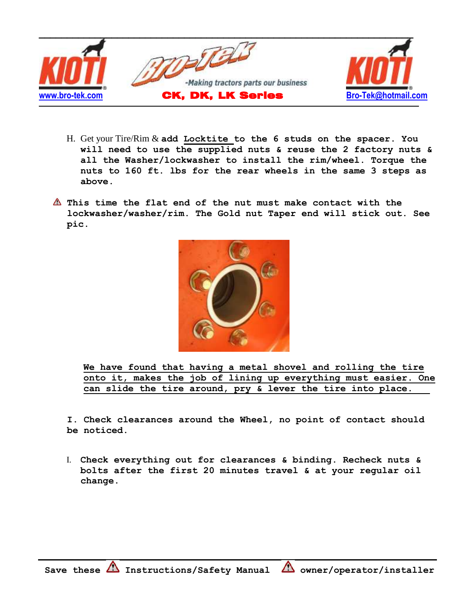

- H. Get your Tire/Rim & **add Locktite to the 6 studs on the spacer. You will need to use the supplied nuts & reuse the 2 factory nuts & all the Washer/lockwasher to install the rim/wheel. Torque the nuts to 160 ft. lbs for the rear wheels in the same 3 steps as above.**
- **This time the flat end of the nut must make contact with the lockwasher/washer/rim. The Gold nut Taper end will stick out. See pic.**



**We have found that having a metal shovel and rolling the tire onto it, makes the job of lining up everything must easier. One can slide the tire around, pry & lever the tire into place.**

**I. Check clearances around the Wheel, no point of contact should be noticed.** 

I. **Check everything out for clearances & binding. Recheck nuts & bolts after the first 20 minutes travel & at your regular oil change.**